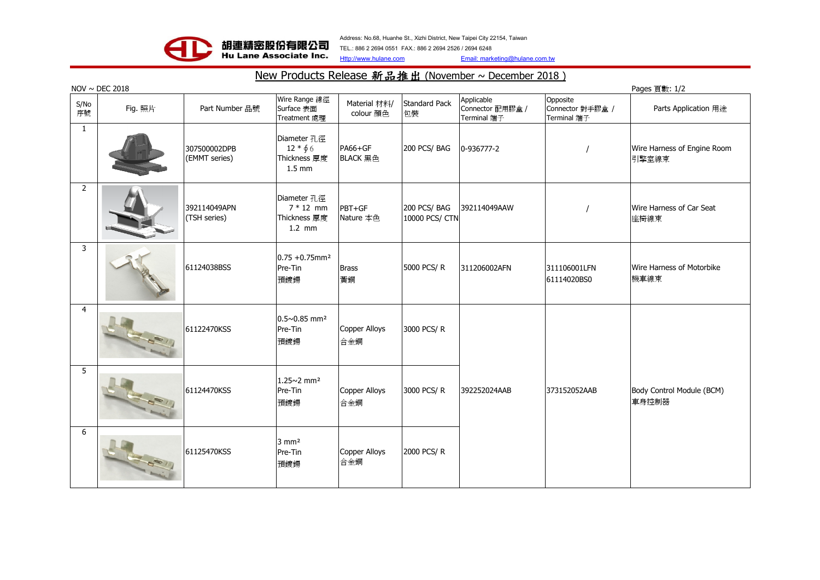

Address: No.68, Huanhe St., Xizhi District, New Taipei City 22154, Taiwan TEL.: 886 2 2694 0551 FAX.: 886 2 2694 2526 / 2694 6248

Http://www.hulane.com Email: marketing@hulane.com.tw

## New Products Release 新品推出 (November ~ December 2018)

|                | $NOV \sim DEC$ 2018<br>Pages $j$ [數: $1/2$ ] |                               |                                                              |                             |                               |                                               |                                             |                                      |  |
|----------------|----------------------------------------------|-------------------------------|--------------------------------------------------------------|-----------------------------|-------------------------------|-----------------------------------------------|---------------------------------------------|--------------------------------------|--|
| S/No<br>序號     | Fig. 照片                                      | Part Number 品號                | Wire Range 線徑<br>Surface 表面<br><b>Treatment</b> 處理           | Material 材料/<br>colour 顏色   | <b>Standard Pack</b><br>包裝    | Applicable<br>Connector 配用膠盒 /<br>Terminal 端子 | Opposite<br>Connector 對手膠盒 /<br>Terminal 端子 | Parts Application 用途                 |  |
| 1              |                                              | 307500002DPB<br>(EMMT series) | Diameter 孔徑<br>$12 * 66$<br>Thickness 厚度<br>$1.5 \text{ mm}$ | PA66+GF<br>BLACK 黑色         | 200 PCS/BAG                   | 0-936777-2                                    |                                             | Wire Harness of Engine Room<br>引擎室線束 |  |
| $\overline{2}$ |                                              | 392114049APN<br>(TSH series)  | Diameter 孔徑<br>$7 * 12$ mm<br>Thickness 厚度<br>$1.2$ mm       | PBT+GF<br>Nature 本色         | 200 PCS/BAG<br>10000 PCS/ CTN | 392114049AAW                                  |                                             | Wire Harness of Car Seat<br>座椅線束     |  |
| 3              |                                              | 61124038BSS                   | $0.75 + 0.75$ mm <sup>2</sup><br>Pre-Tin<br>預鍍鍚              | <b>Brass</b><br>黃銅          | 5000 PCS/R                    | 311206002AFN                                  | 311106001LFN<br>61114020BS0                 | Wire Harness of Motorbike<br>機車線束    |  |
| $\overline{4}$ |                                              | 61122470KSS                   | $0.5 \sim 0.85$ mm <sup>2</sup><br>Pre-Tin<br>預鍍鍚            | Copper Alloys<br>合金銅        | 3000 PCS/R                    |                                               |                                             |                                      |  |
| 5              |                                              | 61124470KSS                   | $1.25 \times 2$ mm <sup>2</sup><br>Pre-Tin<br>預鍍鍚            | <b>Copper Alloys</b><br>合金銅 | 3000 PCS/R                    | 392252024AAB                                  | 373152052AAB                                | Body Control Module (BCM)<br>車身控制器   |  |
| 6              |                                              | 61125470KSS                   | $3 \text{ mm}^2$<br>Pre-Tin<br>預鍍鍚                           | Copper Alloys<br>合金銅        | 2000 PCS/R                    |                                               |                                             |                                      |  |